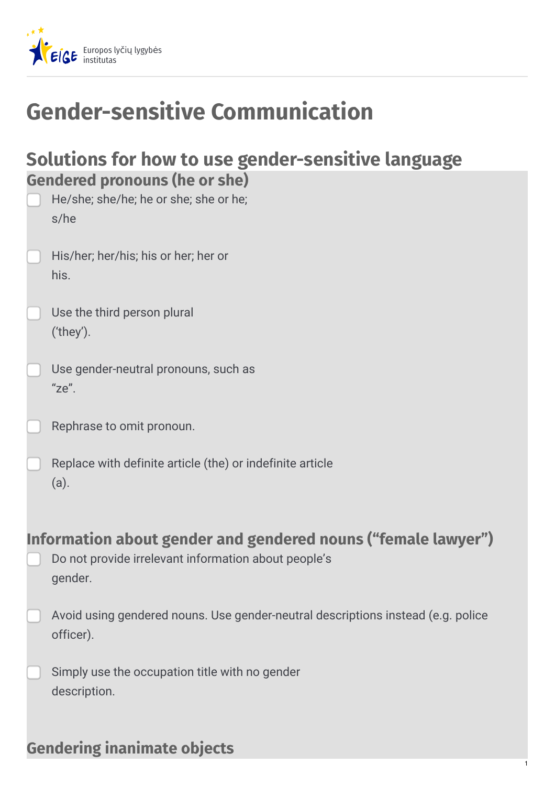

# **Gender-sensitive Communication**

|                                      |  |  | Solutions for how to use gender-sensitive language |
|--------------------------------------|--|--|----------------------------------------------------|
| <b>Gendered pronouns (he or she)</b> |  |  |                                                    |

| He/she; she/he; he or she; she or he;<br>s/he    |
|--------------------------------------------------|
| His/her; her/his; his or her; her or<br>his.     |
| Use the third person plural<br>$'$ they').       |
| Use gender-neutral pronouns, such as<br>$"ze"$ . |
| Rephrase to omit pronoun.                        |

Replace with definite article (the) or indefinite article (a).

## **Information about gender and gendered nouns ("female lawyer")**

- Do not provide irrelevant information about people's gender.
- Avoid using gendered nouns. Use gender-neutral descriptions instead (e.g. police officer).
	- Simply use the occupation title with no gender description.

#### **Gendering inanimate objects**